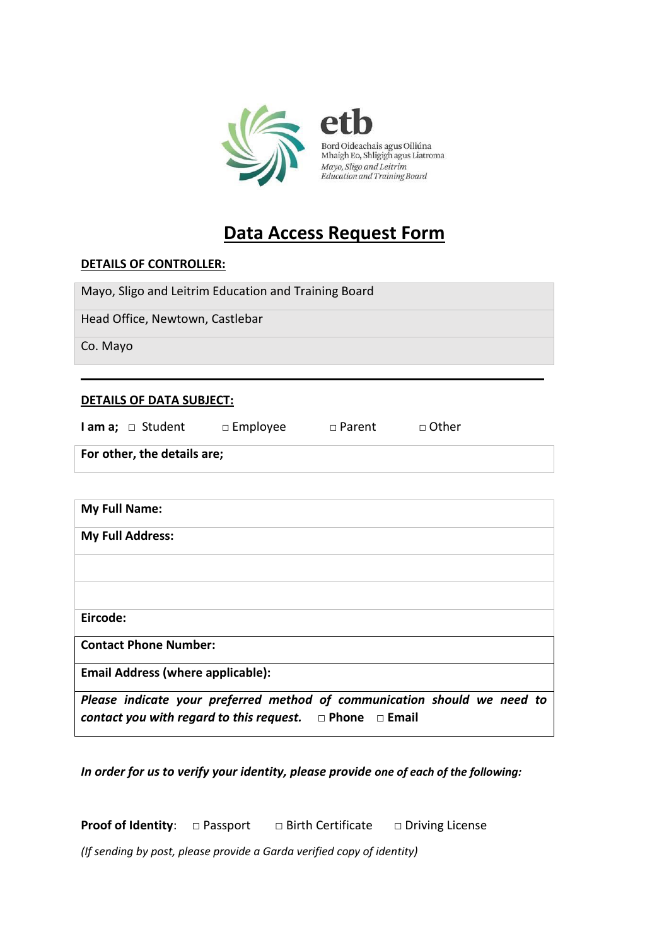

# **Data Access Request Form**

# **DETAILS OF CONTROLLER:**

Mayo, Sligo and Leitrim Education and Training Board

Head Office, Newtown, Castlebar

Co. Mayo

## **DETAILS OF DATA SUBJECT:**

| <b>lama</b> ; $\Box$ Student | $\Box$ Employee | $\Box$ Parent | □ Other |  |  |
|------------------------------|-----------------|---------------|---------|--|--|
| For other, the details are;  |                 |               |         |  |  |

 $\overline{\phantom{a}}$  , and the contribution of the contribution of the contribution of the contribution of the contribution of the contribution of the contribution of the contribution of the contribution of the contribution of the

| <b>My Full Name:</b>                                                                                                                           |
|------------------------------------------------------------------------------------------------------------------------------------------------|
| <b>My Full Address:</b>                                                                                                                        |
|                                                                                                                                                |
|                                                                                                                                                |
| Eircode:                                                                                                                                       |
| <b>Contact Phone Number:</b>                                                                                                                   |
| <b>Email Address (where applicable):</b>                                                                                                       |
| Please indicate your preferred method of communication should we need to<br>contact you with regard to this request. $\Box$ Phone $\Box$ Email |

*In order for us to verify your identity, please provide one of each of the following:* 

**Proof of Identity**: □ Passport □ Birth Certificate □ Driving License

*(If sending by post, please provide a Garda verified copy of identity)*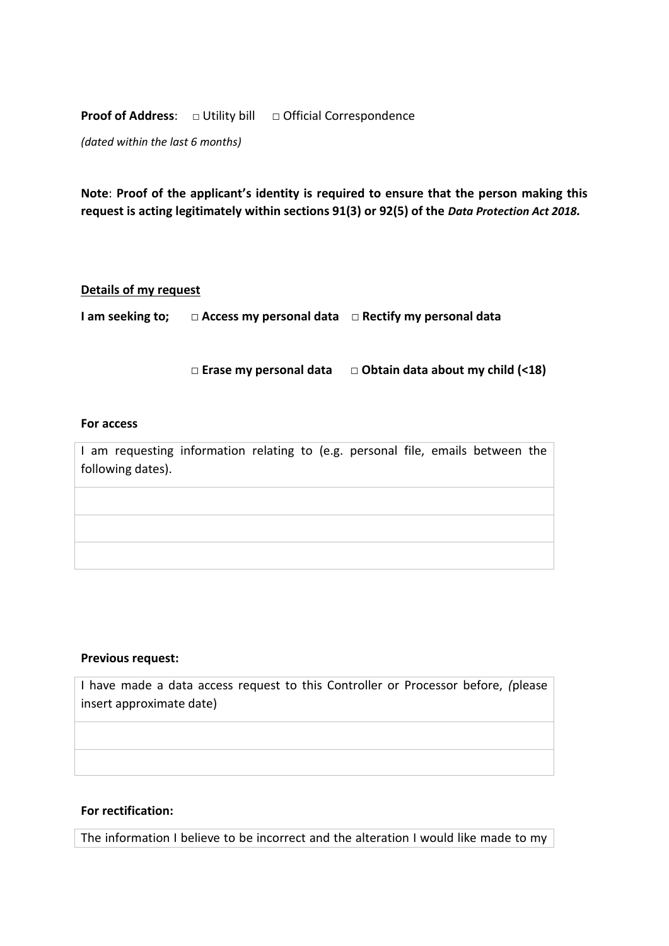**Proof of Address:** □ Utility bill □ Official Correspondence

*(dated within the last 6 months)* 

**Note**: **Proof of the applicant's identity is required to ensure that the person making this request is acting legitimately within sections 91(3) or 92(5) of the** *Data Protection Act 2018.* 

## **Details of my request**

**I am seeking to; □ Access my personal data □ Rectify my personal data** 

 **□ Erase my personal data □ Obtain data about my child (<18)**

#### **For access**

I am requesting information relating to (e.g. personal file, emails between the following dates).

#### **Previous request:**

I have made a data access request to this Controller or Processor before, *(*please insert approximate date)

## **For rectification:**

The information I believe to be incorrect and the alteration I would like made to my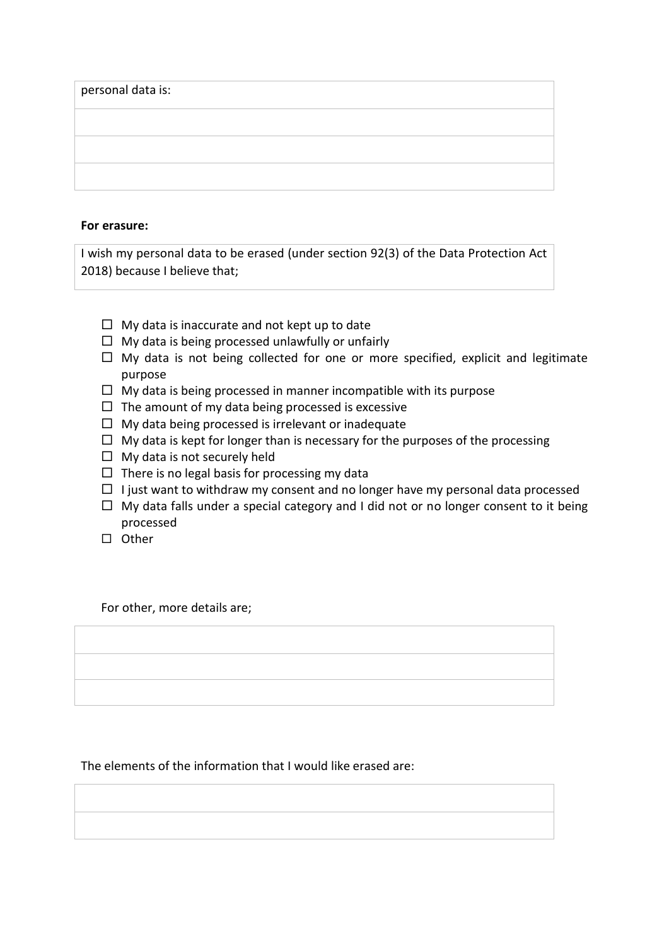| personal data is: |  |  |  |
|-------------------|--|--|--|
|                   |  |  |  |
|                   |  |  |  |
|                   |  |  |  |

#### **For erasure:**

I wish my personal data to be erased (under section 92(3) of the Data Protection Act 2018) because I believe that;

- $\Box$  My data is inaccurate and not kept up to date
- $\Box$  My data is being processed unlawfully or unfairly
- $\Box$  My data is not being collected for one or more specified, explicit and legitimate purpose
- $\Box$  My data is being processed in manner incompatible with its purpose
- $\Box$  The amount of my data being processed is excessive
- $\Box$  My data being processed is irrelevant or inadequate
- $\Box$  My data is kept for longer than is necessary for the purposes of the processing
- $\Box$  My data is not securely held
- $\Box$  There is no legal basis for processing my data
- $\Box$  I just want to withdraw my consent and no longer have my personal data processed
- $\Box$  My data falls under a special category and I did not or no longer consent to it being processed
- $\square$  Other

For other, more details are;

The elements of the information that I would like erased are: